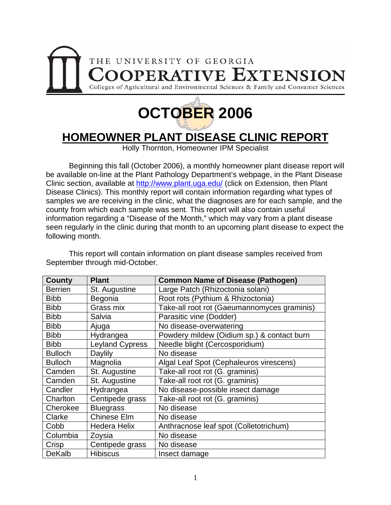



### **HOMEOWNER PLANT DISEASE CLINIC REPORT**

Holly Thornton, Homeowner IPM Specialist

 Beginning this fall (October 2006), a monthly homeowner plant disease report will be available on-line at the Plant Pathology Department's webpage, in the Plant Disease Clinic section, available at<http://www.plant.uga.edu/>(click on Extension, then Plant Disease Clinics). This monthly report will contain information regarding what types of samples we are receiving in the clinic, what the diagnoses are for each sample, and the county from which each sample was sent. This report will also contain useful information regarding a "Disease of the Month," which may vary from a plant disease seen regularly in the clinic during that month to an upcoming plant disease to expect the following month.

 This report will contain information on plant disease samples received from September through mid-October.

| County         | <b>Plant</b>           | <b>Common Name of Disease (Pathogen)</b>    |
|----------------|------------------------|---------------------------------------------|
| <b>Berrien</b> | St. Augustine          | Large Patch (Rhizoctonia solani)            |
| <b>Bibb</b>    | Begonia                | Root rots (Pythium & Rhizoctonia)           |
| <b>Bibb</b>    | Grass mix              | Take-all root rot (Gaeumannomyces graminis) |
| <b>Bibb</b>    | Salvia                 | Parasitic vine (Dodder)                     |
| <b>Bibb</b>    | Ajuga                  | No disease-overwatering                     |
| <b>Bibb</b>    | Hydrangea              | Powdery mildew (Oidium sp.) & contact burn  |
| <b>Bibb</b>    | <b>Leyland Cypress</b> | Needle blight (Cercosporidium)              |
| <b>Bulloch</b> | Daylily                | No disease                                  |
| <b>Bulloch</b> | Magnolia               | Algal Leaf Spot (Cephaleuros virescens)     |
| Camden         | St. Augustine          | Take-all root rot (G. graminis)             |
| Camden         | St. Augustine          | Take-all root rot (G. graminis)             |
| Candler        | Hydrangea              | No disease-possible insect damage           |
| Charlton       | Centipede grass        | Take-all root rot (G. graminis)             |
| Cherokee       | <b>Bluegrass</b>       | No disease                                  |
| Clarke         | <b>Chinese Elm</b>     | No disease                                  |
| Cobb           | <b>Hedera Helix</b>    | Anthracnose leaf spot (Colletotrichum)      |
| Columbia       | Zoysia                 | No disease                                  |
| Crisp          | Centipede grass        | No disease                                  |
| <b>DeKalb</b>  | <b>Hibiscus</b>        | Insect damage                               |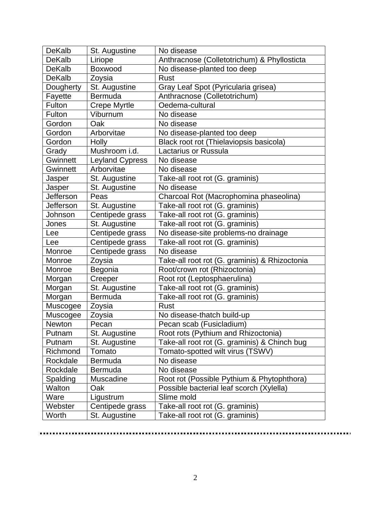| <b>DeKalb</b> | St. Augustine          | No disease                                    |
|---------------|------------------------|-----------------------------------------------|
| <b>DeKalb</b> | Liriope                | Anthracnose (Colletotrichum) & Phyllosticta   |
| <b>DeKalb</b> | Boxwood                | No disease-planted too deep                   |
| <b>DeKalb</b> | Zoysia                 | <b>Rust</b>                                   |
| Dougherty     | St. Augustine          | Gray Leaf Spot (Pyricularia grisea)           |
| Fayette       | <b>Bermuda</b>         | Anthracnose (Colletotrichum)                  |
| Fulton        | <b>Crepe Myrtle</b>    | Oedema-cultural                               |
| Fulton        | Viburnum               | No disease                                    |
| Gordon        | Oak                    | No disease                                    |
| Gordon        | Arborvitae             | No disease-planted too deep                   |
| Gordon        | Holly                  | Black root rot (Thielaviopsis basicola)       |
| Grady         | Mushroom i.d.          | Lactarius or Russula                          |
| Gwinnett      | <b>Leyland Cypress</b> | No disease                                    |
| Gwinnett      | Arborvitae             | No disease                                    |
| Jasper        | St. Augustine          | Take-all root rot (G. graminis)               |
| Jasper        | St. Augustine          | No disease                                    |
| Jefferson     | Peas                   | Charcoal Rot (Macrophomina phaseolina)        |
| Jefferson     | St. Augustine          | Take-all root rot (G. graminis)               |
| Johnson       | Centipede grass        | Take-all root rot (G. graminis)               |
| Jones         | St. Augustine          | Take-all root rot (G. graminis)               |
| Lee           | Centipede grass        | No disease-site problems-no drainage          |
| Lee           | Centipede grass        | Take-all root rot (G. graminis)               |
| Monroe        | Centipede grass        | No disease                                    |
| Monroe        | Zoysia                 | Take-all root rot (G. graminis) & Rhizoctonia |
| Monroe        | Begonia                | Root/crown rot (Rhizoctonia)                  |
| Morgan        | Creeper                | Root rot (Leptosphaerulina)                   |
| Morgan        | St. Augustine          | Take-all root rot (G. graminis)               |
| Morgan        | Bermuda                | Take-all root rot (G. graminis)               |
| Muscogee      | Zoysia                 | <b>Rust</b>                                   |
| Muscogee      | Zoysia                 | No disease-thatch build-up                    |
| Newton        | Pecan                  | Pecan scab (Fusicladium)                      |
| Putnam        | St. Augustine          | Root rots (Pythium and Rhizoctonia)           |
| Putnam        | St. Augustine          | Take-all root rot (G. graminis) & Chinch bug  |
| Richmond      | Tomato                 | Tomato-spotted wilt virus (TSWV)              |
| Rockdale      | <b>Bermuda</b>         | No disease                                    |
| Rockdale      | <b>Bermuda</b>         | No disease                                    |
| Spalding      | <b>Muscadine</b>       | Root rot (Possible Pythium & Phytophthora)    |
| Walton        | Oak                    | Possible bacterial leaf scorch (Xylella)      |
| Ware          | Ligustrum              | Slime mold                                    |
| Webster       | Centipede grass        | Take-all root rot (G. graminis)               |
| Worth         | St. Augustine          | Take-all root rot (G. graminis)               |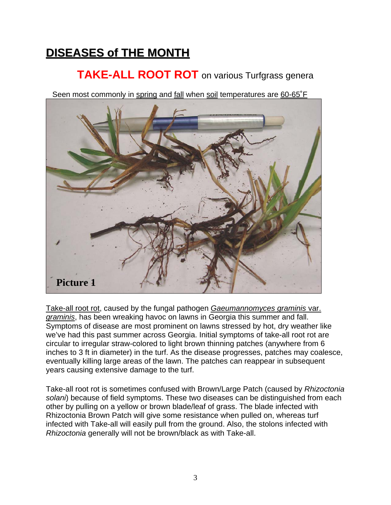# **DISEASES of THE MONTH**

### **TAKE-ALL ROOT ROT** on various Turfgrass genera

Seen most commonly in spring and fall when soil temperatures are 60-65°F



Take-all root rot, caused by the fungal pathogen *Gaeumannomyces graminis* var. *graminis*, has been wreaking havoc on lawns in Georgia this summer and fall. Symptoms of disease are most prominent on lawns stressed by hot, dry weather like we've had this past summer across Georgia. Initial symptoms of take-all root rot are circular to irregular straw-colored to light brown thinning patches (anywhere from 6 inches to 3 ft in diameter) in the turf. As the disease progresses, patches may coalesce, eventually killing large areas of the lawn. The patches can reappear in subsequent years causing extensive damage to the turf.

Take-all root rot is sometimes confused with Brown/Large Patch (caused by *Rhizoctonia solani*) because of field symptoms. These two diseases can be distinguished from each other by pulling on a yellow or brown blade/leaf of grass. The blade infected with Rhizoctonia Brown Patch will give some resistance when pulled on, whereas turf infected with Take-all will easily pull from the ground. Also, the stolons infected with *Rhizoctonia* generally will not be brown/black as with Take-all.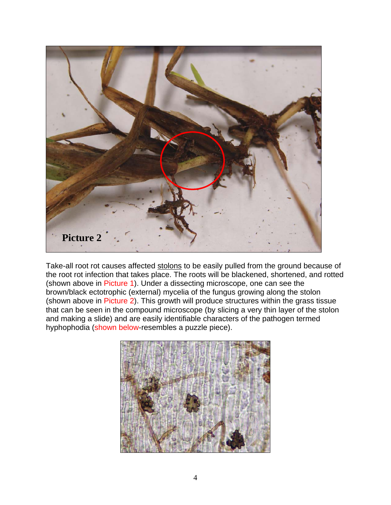

Take-all root rot causes affected stolons to be easily pulled from the ground because of the root rot infection that takes place. The roots will be blackened, shortened, and rotted (shown above in Picture 1). Under a dissecting microscope, one can see the brown/black ectotrophic (external) mycelia of the fungus growing along the stolon (shown above in Picture 2). This growth will produce structures within the grass tissue that can be seen in the compound microscope (by slicing a very thin layer of the stolon and making a slide) and are easily identifiable characters of the pathogen termed hyphophodia (shown below-resembles a puzzle piece).

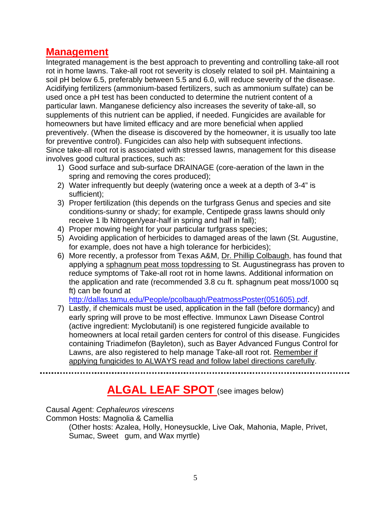#### **Management**

Integrated management is the best approach to preventing and controlling take-all root rot in home lawns. Take-all root rot severity is closely related to soil pH. Maintaining a soil pH below 6.5, preferably between 5.5 and 6.0, will reduce severity of the disease. Acidifying fertilizers (ammonium-based fertilizers, such as ammonium sulfate) can be used once a pH test has been conducted to determine the nutrient content of a particular lawn. Manganese deficiency also increases the severity of take-all, so supplements of this nutrient can be applied, if needed. Fungicides are available for homeowners but have limited efficacy and are more beneficial when applied preventively. (When the disease is discovered by the homeowner, it is usually too late for preventive control). Fungicides can also help with subsequent infections. Since take-all root rot is associated with stressed lawns, management for this disease involves good cultural practices, such as:

- 1) Good surface and sub-surface DRAINAGE (core-aeration of the lawn in the spring and removing the cores produced);
- 2) Water infrequently but deeply (watering once a week at a depth of 3-4" is sufficient);
- 3) Proper fertilization (this depends on the turfgrass Genus and species and site conditions-sunny or shady; for example, Centipede grass lawns should only receive 1 lb Nitrogen/year-half in spring and half in fall);
- 4) Proper mowing height for your particular turfgrass species;
- 5) Avoiding application of herbicides to damaged areas of the lawn (St. Augustine, for example, does not have a high tolerance for herbicides);
- 6) More recently, a professor from Texas A&M, Dr. Phillip Colbaugh, has found that applying a sphagnum peat moss topdressing to St. Augustinegrass has proven to reduce symptoms of Take-all root rot in home lawns. Additional information on the application and rate (recommended 3.8 cu ft. sphagnum peat moss/1000 sq ft) can be found at

[http://dallas.tamu.edu/People/pcolbaugh/PeatmossPoster\(051605\).pdf.](http://dallas.tamu.edu/People/pcolbaugh/PeatmossPoster(051605).pdf)

7) Lastly, if chemicals must be used, application in the fall (before dormancy) and early spring will prove to be most effective. Immunox Lawn Disease Control (active ingredient: Myclobutanil) is one registered fungicide available to homeowners at local retail garden centers for control of this disease. Fungicides containing Triadimefon (Bayleton), such as Bayer Advanced Fungus Control for Lawns, are also registered to help manage Take-all root rot. Remember if applying fungicides to ALWAYS read and follow label directions carefully.

### **ALGAL LEAF SPOT** (see images below)

Causal Agent: *Cephaleuros virescens*

Common Hosts: Magnolia & Camellia

(Other hosts: Azalea, Holly, Honeysuckle, Live Oak, Mahonia, Maple, Privet, Sumac, Sweet gum, and Wax myrtle)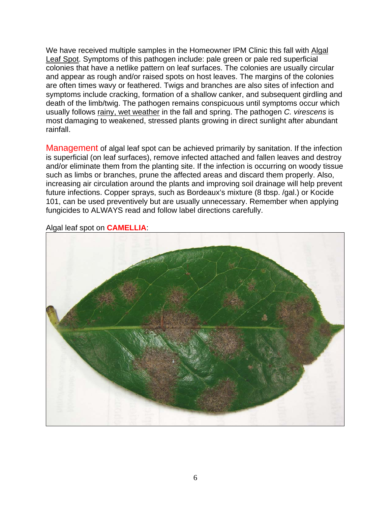We have received multiple samples in the Homeowner IPM Clinic this fall with Algal Leaf Spot. Symptoms of this pathogen include: pale green or pale red superficial colonies that have a netlike pattern on leaf surfaces. The colonies are usually circular and appear as rough and/or raised spots on host leaves. The margins of the colonies are often times wavy or feathered. Twigs and branches are also sites of infection and symptoms include cracking, formation of a shallow canker, and subsequent girdling and death of the limb/twig. The pathogen remains conspicuous until symptoms occur which usually follows rainy, wet weather in the fall and spring. The pathogen *C. virescens* is most damaging to weakened, stressed plants growing in direct sunlight after abundant rainfall.

Management of algal leaf spot can be achieved primarily by sanitation. If the infection is superficial (on leaf surfaces), remove infected attached and fallen leaves and destroy and/or eliminate them from the planting site. If the infection is occurring on woody tissue such as limbs or branches, prune the affected areas and discard them properly. Also, increasing air circulation around the plants and improving soil drainage will help prevent future infections. Copper sprays, such as Bordeaux's mixture (8 tbsp. /gal.) or Kocide 101, can be used preventively but are usually unnecessary. Remember when applying fungicides to ALWAYS read and follow label directions carefully.



Algal leaf spot on **CAMELLIA**: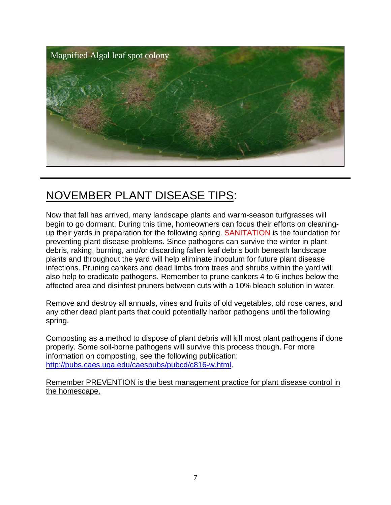

## NOVEMBER PLANT DISEASE TIPS:

Now that fall has arrived, many landscape plants and warm-season turfgrasses will begin to go dormant. During this time, homeowners can focus their efforts on cleaningup their yards in preparation for the following spring. SANITATION is the foundation for preventing plant disease problems. Since pathogens can survive the winter in plant debris, raking, burning, and/or discarding fallen leaf debris both beneath landscape plants and throughout the yard will help eliminate inoculum for future plant disease infections. Pruning cankers and dead limbs from trees and shrubs within the yard will also help to eradicate pathogens. Remember to prune cankers 4 to 6 inches below the affected area and disinfest pruners between cuts with a 10% bleach solution in water.

Remove and destroy all annuals, vines and fruits of old vegetables, old rose canes, and any other dead plant parts that could potentially harbor pathogens until the following spring.

Composting as a method to dispose of plant debris will kill most plant pathogens if done properly. Some soil-borne pathogens will survive this process though. For more information on composting, see the following publication: <http://pubs.caes.uga.edu/caespubs/pubcd/c816-w.html>.

Remember PREVENTION is the best management practice for plant disease control in the homescape.